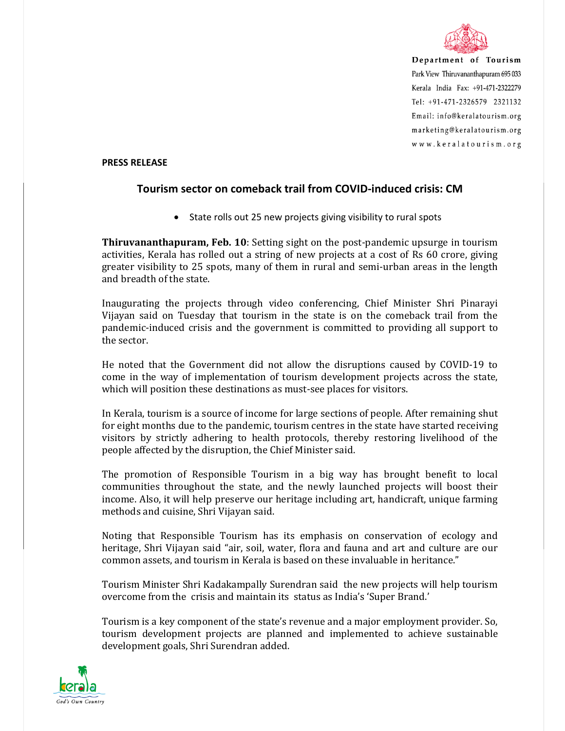

Department of Tourism Park View Thiruvananthapuram 695 033 Kerala India Fax: +91-471-2322279 Tel: +91-471-2326579 2321132 Email: info@keralatourism.org marketing@keralatourism.org www.keralatourism.org

## **PRESS RELEASE**

## **Tourism sector on comeback trail from COVID-induced crisis: CM**

• State rolls out 25 new projects giving visibility to rural spots

**Thiruvananthapuram, Feb. 10**: Setting sight on the post-pandemic upsurge in tourism activities, Kerala has rolled out a string of new projects at a cost of Rs 60 crore, giving greater visibility to 25 spots, many of them in rural and semi-urban areas in the length and breadth of the state.

Inaugurating the projects through video conferencing, Chief Minister Shri Pinarayi Vijayan said on Tuesday that tourism in the state is on the comeback trail from the pandemic-induced crisis and the government is committed to providing all support to the sector.

He noted that the Government did not allow the disruptions caused by COVID-19 to come in the way of implementation of tourism development projects across the state, which will position these destinations as must-see places for visitors.

In Kerala, tourism is a source of income for large sections of people. After remaining shut for eight months due to the pandemic, tourism centres in the state have started receiving visitors by strictly adhering to health protocols, thereby restoring livelihood of the people affected by the disruption, the Chief Minister said.

The promotion of Responsible Tourism in a big way has brought benefit to local communities throughout the state, and the newly launched projects will boost their income. Also, it will help preserve our heritage including art, handicraft, unique farming methods and cuisine, Shri Vijayan said.

Noting that Responsible Tourism has its emphasis on conservation of ecology and heritage, Shri Vijayan said "air, soil, water, flora and fauna and art and culture are our common assets, and tourism in Kerala is based on these invaluable in heritance."

Tourism Minister Shri Kadakampally Surendran said the new projects will help tourism overcome from the crisis and maintain its status as India's 'Super Brand.'

Tourism is a key component of the state's revenue and a major employment provider. So, tourism development projects are planned and implemented to achieve sustainable development goals, Shri Surendran added.